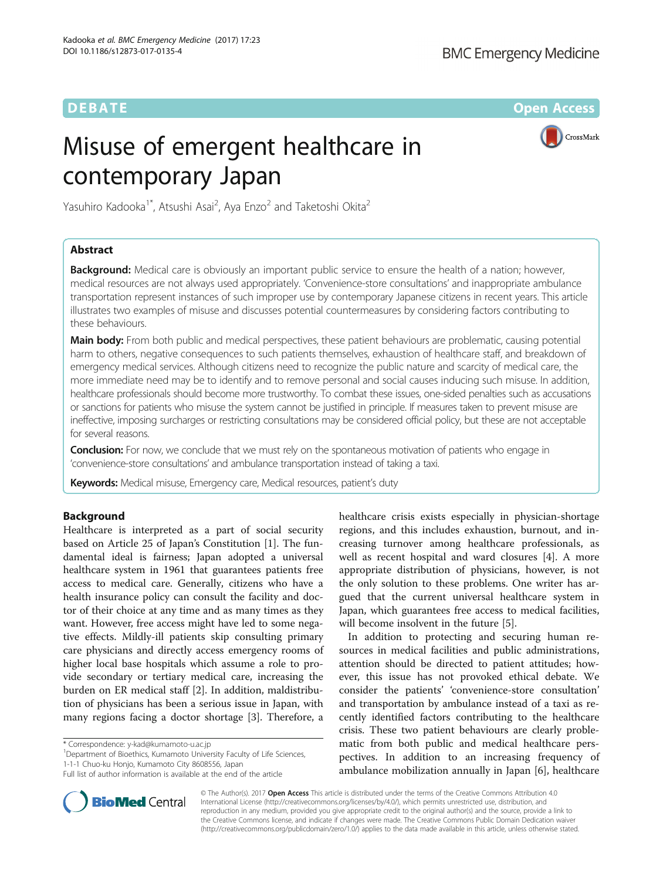**DEBATE CONSERVATION CONSERVATION** 

# Misuse of emergent healthcare in contemporary Japan



Yasuhiro Kadooka<sup>1\*</sup>, Atsushi Asai<sup>2</sup>, Aya Enzo<sup>2</sup> and Taketoshi Okita<sup>2</sup>

# Abstract

**Background:** Medical care is obviously an important public service to ensure the health of a nation; however, medical resources are not always used appropriately. 'Convenience-store consultations' and inappropriate ambulance transportation represent instances of such improper use by contemporary Japanese citizens in recent years. This article illustrates two examples of misuse and discusses potential countermeasures by considering factors contributing to these behaviours.

Main body: From both public and medical perspectives, these patient behaviours are problematic, causing potential harm to others, negative consequences to such patients themselves, exhaustion of healthcare staff, and breakdown of emergency medical services. Although citizens need to recognize the public nature and scarcity of medical care, the more immediate need may be to identify and to remove personal and social causes inducing such misuse. In addition, healthcare professionals should become more trustworthy. To combat these issues, one-sided penalties such as accusations or sanctions for patients who misuse the system cannot be justified in principle. If measures taken to prevent misuse are ineffective, imposing surcharges or restricting consultations may be considered official policy, but these are not acceptable for several reasons.

**Conclusion:** For now, we conclude that we must rely on the spontaneous motivation of patients who engage in 'convenience-store consultations' and ambulance transportation instead of taking a taxi.

Keywords: Medical misuse, Emergency care, Medical resources, patient's duty

# Background

Healthcare is interpreted as a part of social security based on Article 25 of Japan's Constitution [\[1](#page-5-0)]. The fundamental ideal is fairness; Japan adopted a universal healthcare system in 1961 that guarantees patients free access to medical care. Generally, citizens who have a health insurance policy can consult the facility and doctor of their choice at any time and as many times as they want. However, free access might have led to some negative effects. Mildly-ill patients skip consulting primary care physicians and directly access emergency rooms of higher local base hospitals which assume a role to provide secondary or tertiary medical care, increasing the burden on ER medical staff [\[2\]](#page-5-0). In addition, maldistribution of physicians has been a serious issue in Japan, with many regions facing a doctor shortage [[3\]](#page-5-0). Therefore, a

\* Correspondence: [y-kad@kumamoto-u.ac.jp](mailto:y-kad@kumamoto-u.ac.jp) <sup>1</sup>

<sup>1</sup>Department of Bioethics, Kumamoto University Faculty of Life Sciences, 1-1-1 Chuo-ku Honjo, Kumamoto City 8608556, Japan

healthcare crisis exists especially in physician-shortage regions, and this includes exhaustion, burnout, and increasing turnover among healthcare professionals, as well as recent hospital and ward closures [[4\]](#page-5-0). A more appropriate distribution of physicians, however, is not the only solution to these problems. One writer has argued that the current universal healthcare system in Japan, which guarantees free access to medical facilities, will become insolvent in the future [\[5](#page-5-0)].

In addition to protecting and securing human resources in medical facilities and public administrations, attention should be directed to patient attitudes; however, this issue has not provoked ethical debate. We consider the patients' 'convenience-store consultation' and transportation by ambulance instead of a taxi as recently identified factors contributing to the healthcare crisis. These two patient behaviours are clearly problematic from both public and medical healthcare perspectives. In addition to an increasing frequency of ambulance mobilization annually in Japan [\[6](#page-5-0)], healthcare



© The Author(s). 2017 **Open Access** This article is distributed under the terms of the Creative Commons Attribution 4.0 International License [\(http://creativecommons.org/licenses/by/4.0/](http://creativecommons.org/licenses/by/4.0/)), which permits unrestricted use, distribution, and reproduction in any medium, provided you give appropriate credit to the original author(s) and the source, provide a link to the Creative Commons license, and indicate if changes were made. The Creative Commons Public Domain Dedication waiver [\(http://creativecommons.org/publicdomain/zero/1.0/](http://creativecommons.org/publicdomain/zero/1.0/)) applies to the data made available in this article, unless otherwise stated.

Full list of author information is available at the end of the article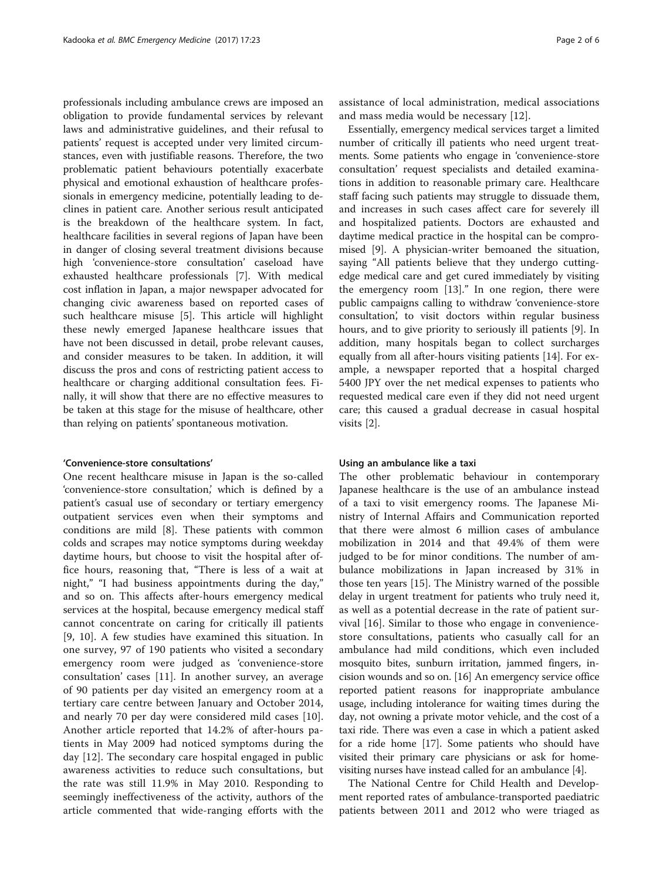professionals including ambulance crews are imposed an obligation to provide fundamental services by relevant laws and administrative guidelines, and their refusal to patients' request is accepted under very limited circumstances, even with justifiable reasons. Therefore, the two problematic patient behaviours potentially exacerbate physical and emotional exhaustion of healthcare professionals in emergency medicine, potentially leading to declines in patient care. Another serious result anticipated is the breakdown of the healthcare system. In fact, healthcare facilities in several regions of Japan have been in danger of closing several treatment divisions because high 'convenience-store consultation' caseload have exhausted healthcare professionals [[7\]](#page-5-0). With medical cost inflation in Japan, a major newspaper advocated for changing civic awareness based on reported cases of such healthcare misuse [[5\]](#page-5-0). This article will highlight these newly emerged Japanese healthcare issues that have not been discussed in detail, probe relevant causes, and consider measures to be taken. In addition, it will discuss the pros and cons of restricting patient access to healthcare or charging additional consultation fees. Finally, it will show that there are no effective measures to be taken at this stage for the misuse of healthcare, other than relying on patients' spontaneous motivation.

#### 'Convenience-store consultations'

One recent healthcare misuse in Japan is the so-called 'convenience-store consultation,' which is defined by a patient's casual use of secondary or tertiary emergency outpatient services even when their symptoms and conditions are mild [[8\]](#page-5-0). These patients with common colds and scrapes may notice symptoms during weekday daytime hours, but choose to visit the hospital after office hours, reasoning that, "There is less of a wait at night," "I had business appointments during the day," and so on. This affects after-hours emergency medical services at the hospital, because emergency medical staff cannot concentrate on caring for critically ill patients [[9, 10](#page-5-0)]. A few studies have examined this situation. In one survey, 97 of 190 patients who visited a secondary emergency room were judged as 'convenience-store consultation' cases [[11\]](#page-5-0). In another survey, an average of 90 patients per day visited an emergency room at a tertiary care centre between January and October 2014, and nearly 70 per day were considered mild cases [\[10](#page-5-0)]. Another article reported that 14.2% of after-hours patients in May 2009 had noticed symptoms during the day [\[12](#page-5-0)]. The secondary care hospital engaged in public awareness activities to reduce such consultations, but the rate was still 11.9% in May 2010. Responding to seemingly ineffectiveness of the activity, authors of the article commented that wide-ranging efforts with the

assistance of local administration, medical associations and mass media would be necessary [\[12\]](#page-5-0).

Essentially, emergency medical services target a limited number of critically ill patients who need urgent treatments. Some patients who engage in 'convenience-store consultation' request specialists and detailed examinations in addition to reasonable primary care. Healthcare staff facing such patients may struggle to dissuade them, and increases in such cases affect care for severely ill and hospitalized patients. Doctors are exhausted and daytime medical practice in the hospital can be compromised [\[9](#page-5-0)]. A physician-writer bemoaned the situation, saying "All patients believe that they undergo cuttingedge medical care and get cured immediately by visiting the emergency room [\[13](#page-5-0)]." In one region, there were public campaigns calling to withdraw 'convenience-store consultation', to visit doctors within regular business hours, and to give priority to seriously ill patients [\[9](#page-5-0)]. In addition, many hospitals began to collect surcharges equally from all after-hours visiting patients [[14\]](#page-5-0). For example, a newspaper reported that a hospital charged 5400 JPY over the net medical expenses to patients who requested medical care even if they did not need urgent care; this caused a gradual decrease in casual hospital visits [\[2](#page-5-0)].

### Using an ambulance like a taxi

The other problematic behaviour in contemporary Japanese healthcare is the use of an ambulance instead of a taxi to visit emergency rooms. The Japanese Ministry of Internal Affairs and Communication reported that there were almost 6 million cases of ambulance mobilization in 2014 and that 49.4% of them were judged to be for minor conditions. The number of ambulance mobilizations in Japan increased by 31% in those ten years [[15\]](#page-5-0). The Ministry warned of the possible delay in urgent treatment for patients who truly need it, as well as a potential decrease in the rate of patient survival [\[16](#page-5-0)]. Similar to those who engage in conveniencestore consultations, patients who casually call for an ambulance had mild conditions, which even included mosquito bites, sunburn irritation, jammed fingers, incision wounds and so on. [\[16\]](#page-5-0) An emergency service office reported patient reasons for inappropriate ambulance usage, including intolerance for waiting times during the day, not owning a private motor vehicle, and the cost of a taxi ride. There was even a case in which a patient asked for a ride home [\[17\]](#page-5-0). Some patients who should have visited their primary care physicians or ask for homevisiting nurses have instead called for an ambulance [\[4](#page-5-0)].

The National Centre for Child Health and Development reported rates of ambulance-transported paediatric patients between 2011 and 2012 who were triaged as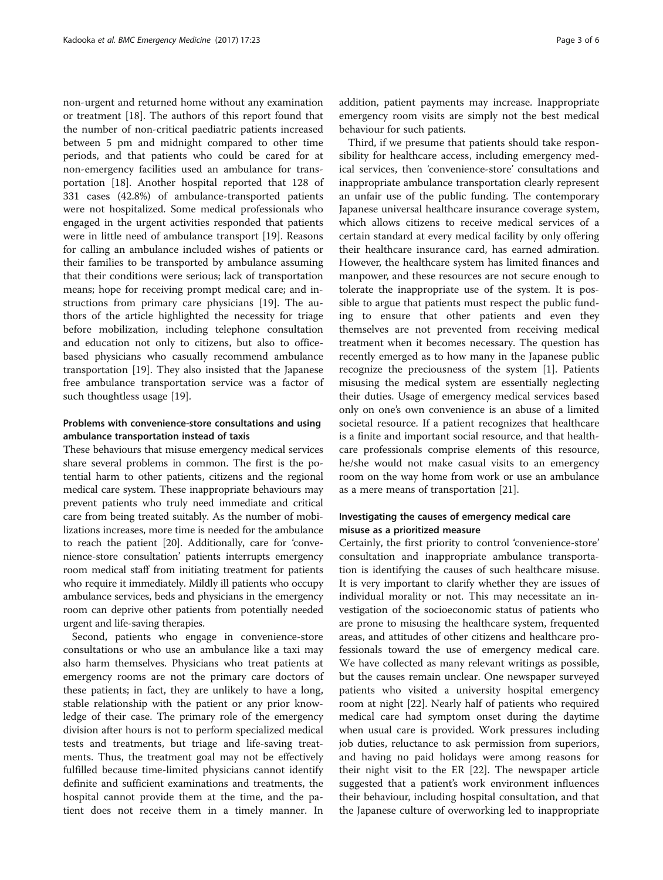non-urgent and returned home without any examination or treatment [[18\]](#page-5-0). The authors of this report found that the number of non-critical paediatric patients increased between 5 pm and midnight compared to other time periods, and that patients who could be cared for at non-emergency facilities used an ambulance for transportation [\[18\]](#page-5-0). Another hospital reported that 128 of 331 cases (42.8%) of ambulance-transported patients were not hospitalized. Some medical professionals who engaged in the urgent activities responded that patients were in little need of ambulance transport [[19\]](#page-5-0). Reasons for calling an ambulance included wishes of patients or their families to be transported by ambulance assuming that their conditions were serious; lack of transportation means; hope for receiving prompt medical care; and instructions from primary care physicians [[19\]](#page-5-0). The authors of the article highlighted the necessity for triage before mobilization, including telephone consultation and education not only to citizens, but also to officebased physicians who casually recommend ambulance transportation [[19\]](#page-5-0). They also insisted that the Japanese free ambulance transportation service was a factor of such thoughtless usage [[19\]](#page-5-0).

# Problems with convenience-store consultations and using ambulance transportation instead of taxis

These behaviours that misuse emergency medical services share several problems in common. The first is the potential harm to other patients, citizens and the regional medical care system. These inappropriate behaviours may prevent patients who truly need immediate and critical care from being treated suitably. As the number of mobilizations increases, more time is needed for the ambulance to reach the patient [\[20\]](#page-5-0). Additionally, care for 'convenience-store consultation' patients interrupts emergency room medical staff from initiating treatment for patients who require it immediately. Mildly ill patients who occupy ambulance services, beds and physicians in the emergency room can deprive other patients from potentially needed urgent and life-saving therapies.

Second, patients who engage in convenience-store consultations or who use an ambulance like a taxi may also harm themselves. Physicians who treat patients at emergency rooms are not the primary care doctors of these patients; in fact, they are unlikely to have a long, stable relationship with the patient or any prior knowledge of their case. The primary role of the emergency division after hours is not to perform specialized medical tests and treatments, but triage and life-saving treatments. Thus, the treatment goal may not be effectively fulfilled because time-limited physicians cannot identify definite and sufficient examinations and treatments, the hospital cannot provide them at the time, and the patient does not receive them in a timely manner. In addition, patient payments may increase. Inappropriate emergency room visits are simply not the best medical behaviour for such patients.

Third, if we presume that patients should take responsibility for healthcare access, including emergency medical services, then 'convenience-store' consultations and inappropriate ambulance transportation clearly represent an unfair use of the public funding. The contemporary Japanese universal healthcare insurance coverage system, which allows citizens to receive medical services of a certain standard at every medical facility by only offering their healthcare insurance card, has earned admiration. However, the healthcare system has limited finances and manpower, and these resources are not secure enough to tolerate the inappropriate use of the system. It is possible to argue that patients must respect the public funding to ensure that other patients and even they themselves are not prevented from receiving medical treatment when it becomes necessary. The question has recently emerged as to how many in the Japanese public recognize the preciousness of the system [[1\]](#page-5-0). Patients misusing the medical system are essentially neglecting their duties. Usage of emergency medical services based only on one's own convenience is an abuse of a limited societal resource. If a patient recognizes that healthcare is a finite and important social resource, and that healthcare professionals comprise elements of this resource, he/she would not make casual visits to an emergency room on the way home from work or use an ambulance as a mere means of transportation [\[21](#page-5-0)].

# Investigating the causes of emergency medical care misuse as a prioritized measure

Certainly, the first priority to control 'convenience-store' consultation and inappropriate ambulance transportation is identifying the causes of such healthcare misuse. It is very important to clarify whether they are issues of individual morality or not. This may necessitate an investigation of the socioeconomic status of patients who are prone to misusing the healthcare system, frequented areas, and attitudes of other citizens and healthcare professionals toward the use of emergency medical care. We have collected as many relevant writings as possible, but the causes remain unclear. One newspaper surveyed patients who visited a university hospital emergency room at night [[22\]](#page-5-0). Nearly half of patients who required medical care had symptom onset during the daytime when usual care is provided. Work pressures including job duties, reluctance to ask permission from superiors, and having no paid holidays were among reasons for their night visit to the ER [\[22\]](#page-5-0). The newspaper article suggested that a patient's work environment influences their behaviour, including hospital consultation, and that the Japanese culture of overworking led to inappropriate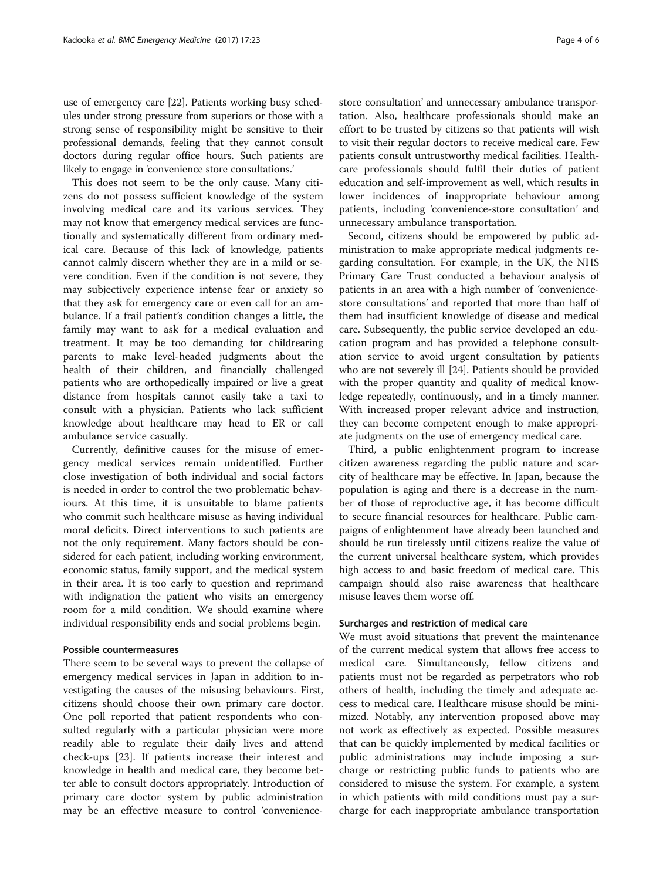use of emergency care [[22](#page-5-0)]. Patients working busy schedules under strong pressure from superiors or those with a strong sense of responsibility might be sensitive to their professional demands, feeling that they cannot consult doctors during regular office hours. Such patients are likely to engage in 'convenience store consultations.'

This does not seem to be the only cause. Many citizens do not possess sufficient knowledge of the system involving medical care and its various services. They may not know that emergency medical services are functionally and systematically different from ordinary medical care. Because of this lack of knowledge, patients cannot calmly discern whether they are in a mild or severe condition. Even if the condition is not severe, they may subjectively experience intense fear or anxiety so that they ask for emergency care or even call for an ambulance. If a frail patient's condition changes a little, the family may want to ask for a medical evaluation and treatment. It may be too demanding for childrearing parents to make level-headed judgments about the health of their children, and financially challenged patients who are orthopedically impaired or live a great distance from hospitals cannot easily take a taxi to consult with a physician. Patients who lack sufficient knowledge about healthcare may head to ER or call ambulance service casually.

Currently, definitive causes for the misuse of emergency medical services remain unidentified. Further close investigation of both individual and social factors is needed in order to control the two problematic behaviours. At this time, it is unsuitable to blame patients who commit such healthcare misuse as having individual moral deficits. Direct interventions to such patients are not the only requirement. Many factors should be considered for each patient, including working environment, economic status, family support, and the medical system in their area. It is too early to question and reprimand with indignation the patient who visits an emergency room for a mild condition. We should examine where individual responsibility ends and social problems begin.

## Possible countermeasures

There seem to be several ways to prevent the collapse of emergency medical services in Japan in addition to investigating the causes of the misusing behaviours. First, citizens should choose their own primary care doctor. One poll reported that patient respondents who consulted regularly with a particular physician were more readily able to regulate their daily lives and attend check-ups [[23](#page-5-0)]. If patients increase their interest and knowledge in health and medical care, they become better able to consult doctors appropriately. Introduction of primary care doctor system by public administration may be an effective measure to control 'conveniencestore consultation' and unnecessary ambulance transportation. Also, healthcare professionals should make an effort to be trusted by citizens so that patients will wish to visit their regular doctors to receive medical care. Few patients consult untrustworthy medical facilities. Healthcare professionals should fulfil their duties of patient education and self-improvement as well, which results in lower incidences of inappropriate behaviour among patients, including 'convenience-store consultation' and unnecessary ambulance transportation.

Second, citizens should be empowered by public administration to make appropriate medical judgments regarding consultation. For example, in the UK, the NHS Primary Care Trust conducted a behaviour analysis of patients in an area with a high number of 'conveniencestore consultations' and reported that more than half of them had insufficient knowledge of disease and medical care. Subsequently, the public service developed an education program and has provided a telephone consultation service to avoid urgent consultation by patients who are not severely ill [\[24](#page-5-0)]. Patients should be provided with the proper quantity and quality of medical knowledge repeatedly, continuously, and in a timely manner. With increased proper relevant advice and instruction, they can become competent enough to make appropriate judgments on the use of emergency medical care.

Third, a public enlightenment program to increase citizen awareness regarding the public nature and scarcity of healthcare may be effective. In Japan, because the population is aging and there is a decrease in the number of those of reproductive age, it has become difficult to secure financial resources for healthcare. Public campaigns of enlightenment have already been launched and should be run tirelessly until citizens realize the value of the current universal healthcare system, which provides high access to and basic freedom of medical care. This campaign should also raise awareness that healthcare misuse leaves them worse off.

# Surcharges and restriction of medical care

We must avoid situations that prevent the maintenance of the current medical system that allows free access to medical care. Simultaneously, fellow citizens and patients must not be regarded as perpetrators who rob others of health, including the timely and adequate access to medical care. Healthcare misuse should be minimized. Notably, any intervention proposed above may not work as effectively as expected. Possible measures that can be quickly implemented by medical facilities or public administrations may include imposing a surcharge or restricting public funds to patients who are considered to misuse the system. For example, a system in which patients with mild conditions must pay a surcharge for each inappropriate ambulance transportation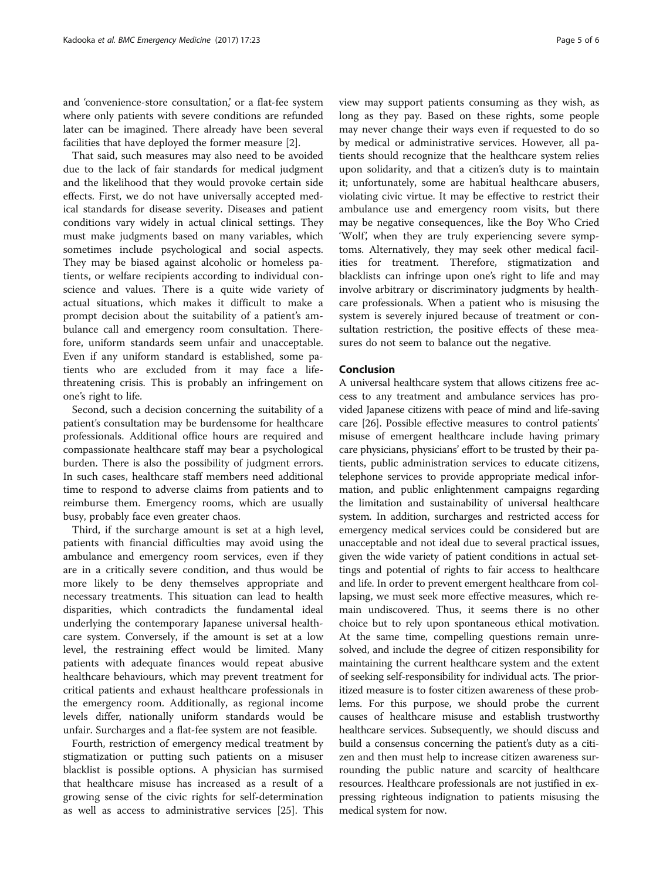and 'convenience-store consultation,' or a flat-fee system where only patients with severe conditions are refunded later can be imagined. There already have been several facilities that have deployed the former measure [[2\]](#page-5-0).

That said, such measures may also need to be avoided due to the lack of fair standards for medical judgment and the likelihood that they would provoke certain side effects. First, we do not have universally accepted medical standards for disease severity. Diseases and patient conditions vary widely in actual clinical settings. They must make judgments based on many variables, which sometimes include psychological and social aspects. They may be biased against alcoholic or homeless patients, or welfare recipients according to individual conscience and values. There is a quite wide variety of actual situations, which makes it difficult to make a prompt decision about the suitability of a patient's ambulance call and emergency room consultation. Therefore, uniform standards seem unfair and unacceptable. Even if any uniform standard is established, some patients who are excluded from it may face a lifethreatening crisis. This is probably an infringement on one's right to life.

Second, such a decision concerning the suitability of a patient's consultation may be burdensome for healthcare professionals. Additional office hours are required and compassionate healthcare staff may bear a psychological burden. There is also the possibility of judgment errors. In such cases, healthcare staff members need additional time to respond to adverse claims from patients and to reimburse them. Emergency rooms, which are usually busy, probably face even greater chaos.

Third, if the surcharge amount is set at a high level, patients with financial difficulties may avoid using the ambulance and emergency room services, even if they are in a critically severe condition, and thus would be more likely to be deny themselves appropriate and necessary treatments. This situation can lead to health disparities, which contradicts the fundamental ideal underlying the contemporary Japanese universal healthcare system. Conversely, if the amount is set at a low level, the restraining effect would be limited. Many patients with adequate finances would repeat abusive healthcare behaviours, which may prevent treatment for critical patients and exhaust healthcare professionals in the emergency room. Additionally, as regional income levels differ, nationally uniform standards would be unfair. Surcharges and a flat-fee system are not feasible.

Fourth, restriction of emergency medical treatment by stigmatization or putting such patients on a misuser blacklist is possible options. A physician has surmised that healthcare misuse has increased as a result of a growing sense of the civic rights for self-determination as well as access to administrative services [\[25\]](#page-5-0). This view may support patients consuming as they wish, as long as they pay. Based on these rights, some people may never change their ways even if requested to do so by medical or administrative services. However, all patients should recognize that the healthcare system relies upon solidarity, and that a citizen's duty is to maintain it; unfortunately, some are habitual healthcare abusers, violating civic virtue. It may be effective to restrict their ambulance use and emergency room visits, but there may be negative consequences, like the Boy Who Cried 'Wolf', when they are truly experiencing severe symptoms. Alternatively, they may seek other medical facilities for treatment. Therefore, stigmatization and blacklists can infringe upon one's right to life and may involve arbitrary or discriminatory judgments by healthcare professionals. When a patient who is misusing the system is severely injured because of treatment or consultation restriction, the positive effects of these measures do not seem to balance out the negative.

# Conclusion

A universal healthcare system that allows citizens free access to any treatment and ambulance services has provided Japanese citizens with peace of mind and life-saving care [\[26\]](#page-5-0). Possible effective measures to control patients' misuse of emergent healthcare include having primary care physicians, physicians' effort to be trusted by their patients, public administration services to educate citizens, telephone services to provide appropriate medical information, and public enlightenment campaigns regarding the limitation and sustainability of universal healthcare system. In addition, surcharges and restricted access for emergency medical services could be considered but are unacceptable and not ideal due to several practical issues, given the wide variety of patient conditions in actual settings and potential of rights to fair access to healthcare and life. In order to prevent emergent healthcare from collapsing, we must seek more effective measures, which remain undiscovered. Thus, it seems there is no other choice but to rely upon spontaneous ethical motivation. At the same time, compelling questions remain unresolved, and include the degree of citizen responsibility for maintaining the current healthcare system and the extent of seeking self-responsibility for individual acts. The prioritized measure is to foster citizen awareness of these problems. For this purpose, we should probe the current causes of healthcare misuse and establish trustworthy healthcare services. Subsequently, we should discuss and build a consensus concerning the patient's duty as a citizen and then must help to increase citizen awareness surrounding the public nature and scarcity of healthcare resources. Healthcare professionals are not justified in expressing righteous indignation to patients misusing the medical system for now.